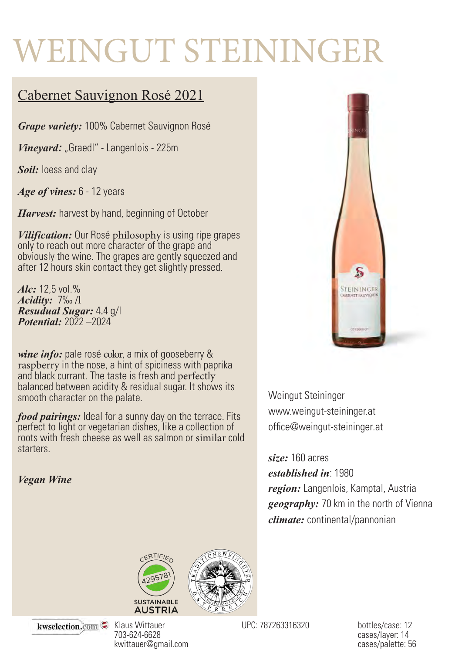## WEINGUT STEININGER

## Cabernet Sauvignon Rosé 2021

*Grape variety:* 100% Cabernet Sauvignon Rosé

*Vineyard:* "Graedl" - Langenlois - 225m

*Soil:* loess and clay

*Age of vines:* 6 - 12 years

*Harvest:* harvest by hand, beginning of October

*Vilification:* Our Rosé philosophy is using ripe grapes only to reach out more character of the grape and obviously the wine. The grapes are gently squeezed and after 12 hours skin contact they get slightly pressed.

*Alc:* 12,5 vol.% *Acidity:* 7‰ /l *Resudual Sugar:* 4.4 g/l *Potential:* 2022 –2024

*wine info:* pale rosé color, a mix of gooseberry & raspberry in the nose, a hint of spiciness with paprika and black currant. The taste is fresh and perfectly balanced between acidity & residual sugar. It shows its smooth character on the palate.

*food pairings:* Ideal for a sunny day on the terrace. Fits perfect to light or vegetarian dishes, like a collection of roots with fresh cheese as well as salmon or similar cold starters.

*Vegan Wine*



Weingut Steininger www.weingut-steininger.at office@weingut-steininger.at

*size:* 160 acres

*established in*: 1980 *region:* Langenlois, Kamptal, Austria *geography:* 70 km in the north of Vienna *climate:* continental/pannonian





kwselection.com

Klaus Wittauer 703-624-6628 kwittauer@gmail.com

UPC: 787263316320 bottles/case: 12

cases/layer: 14 cases/palette: 56